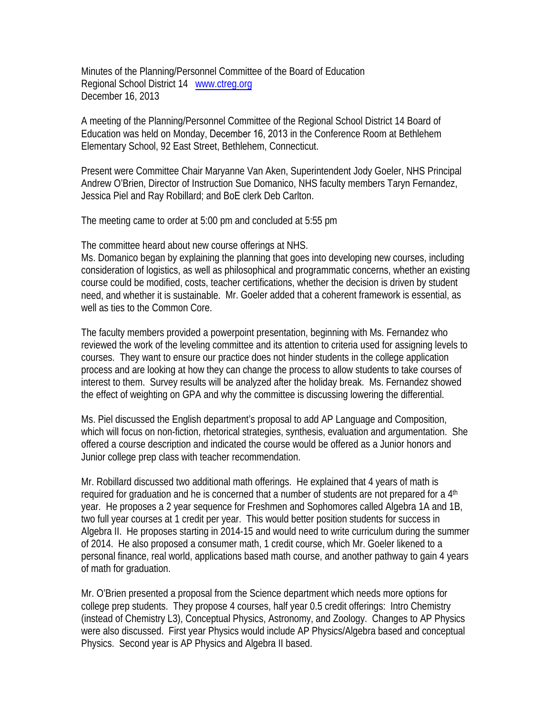Minutes of the Planning/Personnel Committee of the Board of Education Regional School District 14 www.ctreg.org December 16, 2013

A meeting of the Planning/Personnel Committee of the Regional School District 14 Board of Education was held on Monday, December 16, 2013 in the Conference Room at Bethlehem Elementary School, 92 East Street, Bethlehem, Connecticut.

Present were Committee Chair Maryanne Van Aken, Superintendent Jody Goeler, NHS Principal Andrew O'Brien, Director of Instruction Sue Domanico, NHS faculty members Taryn Fernandez, Jessica Piel and Ray Robillard; and BoE clerk Deb Carlton.

The meeting came to order at 5:00 pm and concluded at 5:55 pm

The committee heard about new course offerings at NHS.

Ms. Domanico began by explaining the planning that goes into developing new courses, including consideration of logistics, as well as philosophical and programmatic concerns, whether an existing course could be modified, costs, teacher certifications, whether the decision is driven by student need, and whether it is sustainable. Mr. Goeler added that a coherent framework is essential, as well as ties to the Common Core.

The faculty members provided a powerpoint presentation, beginning with Ms. Fernandez who reviewed the work of the leveling committee and its attention to criteria used for assigning levels to courses. They want to ensure our practice does not hinder students in the college application process and are looking at how they can change the process to allow students to take courses of interest to them. Survey results will be analyzed after the holiday break. Ms. Fernandez showed the effect of weighting on GPA and why the committee is discussing lowering the differential.

Ms. Piel discussed the English department's proposal to add AP Language and Composition, which will focus on non-fiction, rhetorical strategies, synthesis, evaluation and argumentation. She offered a course description and indicated the course would be offered as a Junior honors and Junior college prep class with teacher recommendation.

Mr. Robillard discussed two additional math offerings. He explained that 4 years of math is required for graduation and he is concerned that a number of students are not prepared for a  $4<sup>th</sup>$ year. He proposes a 2 year sequence for Freshmen and Sophomores called Algebra 1A and 1B, two full year courses at 1 credit per year. This would better position students for success in Algebra II. He proposes starting in 2014-15 and would need to write curriculum during the summer of 2014. He also proposed a consumer math, 1 credit course, which Mr. Goeler likened to a personal finance, real world, applications based math course, and another pathway to gain 4 years of math for graduation.

Mr. O'Brien presented a proposal from the Science department which needs more options for college prep students. They propose 4 courses, half year 0.5 credit offerings: Intro Chemistry (instead of Chemistry L3), Conceptual Physics, Astronomy, and Zoology. Changes to AP Physics were also discussed. First year Physics would include AP Physics/Algebra based and conceptual Physics. Second year is AP Physics and Algebra II based.